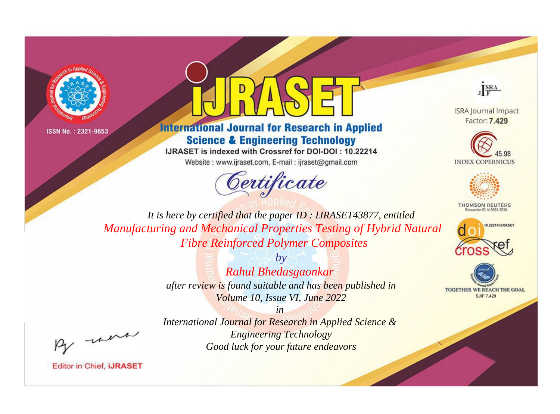



**International Journal for Research in Applied Science & Engineering Technology** 

IJRASET is indexed with Crossref for DOI-DOI: 10.22214

Website: www.ijraset.com, E-mail: ijraset@gmail.com



JERA

**ISRA Journal Impact** Factor: 7.429





**THOMSON REUTERS** 



TOGETHER WE REACH THE GOAL **SJIF 7.429** 

It is here by certified that the paper ID: IJRASET43877, entitled Manufacturing and Mechanical Properties Testing of Hybrid Natural **Fibre Reinforced Polymer Composites** 

> $b\nu$ Rahul Bhedasgaonkar after review is found suitable and has been published in Volume 10, Issue VI, June 2022

were

International Journal for Research in Applied Science & **Engineering Technology** Good luck for your future endeavors

 $in$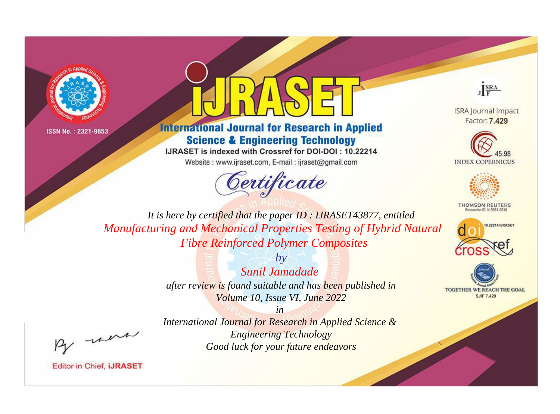



**International Journal for Research in Applied Science & Engineering Technology** 

IJRASET is indexed with Crossref for DOI-DOI: 10.22214

Website: www.ijraset.com, E-mail: ijraset@gmail.com





**ISRA Journal Impact** Factor: 7.429





**THOMSON REUTERS** 



TOGETHER WE REACH THE GOAL **SJIF 7.429** 

*It is here by certified that the paper ID : IJRASET43877, entitled Manufacturing and Mechanical Properties Testing of Hybrid Natural Fibre Reinforced Polymer Composites*

> *by Sunil Jamadade after review is found suitable and has been published in Volume 10, Issue VI, June 2022*

, were

*International Journal for Research in Applied Science & Engineering Technology Good luck for your future endeavors*

*in*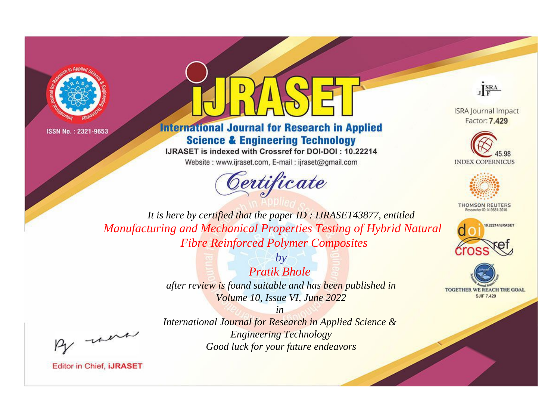



**International Journal for Research in Applied Science & Engineering Technology** 

IJRASET is indexed with Crossref for DOI-DOI: 10.22214

Website: www.ijraset.com, E-mail: ijraset@gmail.com



JERA

**ISRA Journal Impact** Factor: 7.429





**THOMSON REUTERS** 



TOGETHER WE REACH THE GOAL **SJIF 7.429** 

It is here by certified that the paper ID: IJRASET43877, entitled Manufacturing and Mechanical Properties Testing of Hybrid Natural **Fibre Reinforced Polymer Composites** 

> $b\nu$ **Pratik Bhole** after review is found suitable and has been published in Volume 10, Issue VI, June 2022

> > $in$

International Journal for Research in Applied Science & **Engineering Technology** Good luck for your future endeavors

were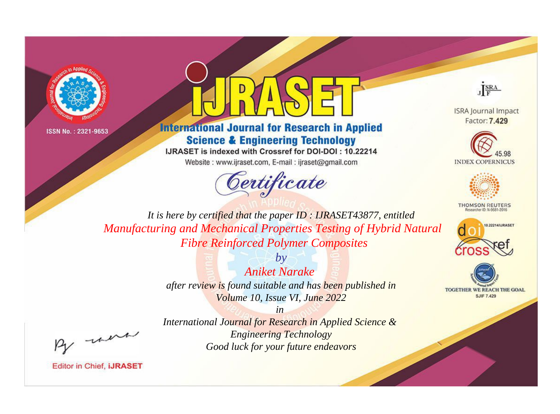



**International Journal for Research in Applied Science & Engineering Technology** 

IJRASET is indexed with Crossref for DOI-DOI: 10.22214

Website: www.ijraset.com, E-mail: ijraset@gmail.com



JERA

**ISRA Journal Impact** Factor: 7.429





**THOMSON REUTERS** 



TOGETHER WE REACH THE GOAL **SJIF 7.429** 

It is here by certified that the paper ID: IJRASET43877, entitled Manufacturing and Mechanical Properties Testing of Hybrid Natural **Fibre Reinforced Polymer Composites** 

> $b\nu$ **Aniket Narake** after review is found suitable and has been published in Volume 10, Issue VI, June 2022

were

International Journal for Research in Applied Science & **Engineering Technology** Good luck for your future endeavors

 $in$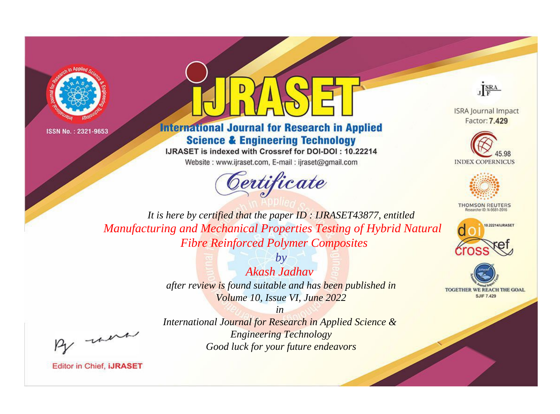



**International Journal for Research in Applied Science & Engineering Technology** 

IJRASET is indexed with Crossref for DOI-DOI: 10.22214

Website: www.ijraset.com, E-mail: ijraset@gmail.com





**ISRA Journal Impact** Factor: 7.429





**THOMSON REUTERS** 



TOGETHER WE REACH THE GOAL **SJIF 7.429** 

*It is here by certified that the paper ID : IJRASET43877, entitled Manufacturing and Mechanical Properties Testing of Hybrid Natural Fibre Reinforced Polymer Composites*

> *by Akash Jadhav after review is found suitable and has been published in Volume 10, Issue VI, June 2022*

, were

*International Journal for Research in Applied Science & Engineering Technology Good luck for your future endeavors*

*in*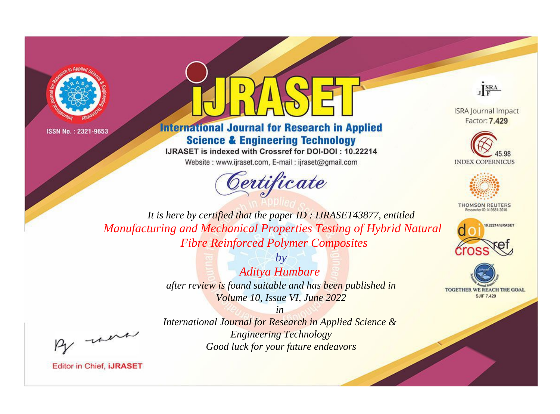



**International Journal for Research in Applied Science & Engineering Technology** 

IJRASET is indexed with Crossref for DOI-DOI: 10.22214

Website: www.ijraset.com, E-mail: ijraset@gmail.com



JERA

**ISRA Journal Impact** Factor: 7.429





**THOMSON REUTERS** 



TOGETHER WE REACH THE GOAL **SJIF 7.429** 

It is here by certified that the paper ID: IJRASET43877, entitled Manufacturing and Mechanical Properties Testing of Hybrid Natural **Fibre Reinforced Polymer Composites** 

> $b\nu$ **Aditya Humbare** after review is found suitable and has been published in Volume 10, Issue VI, June 2022

were

International Journal for Research in Applied Science & **Engineering Technology** Good luck for your future endeavors

 $in$